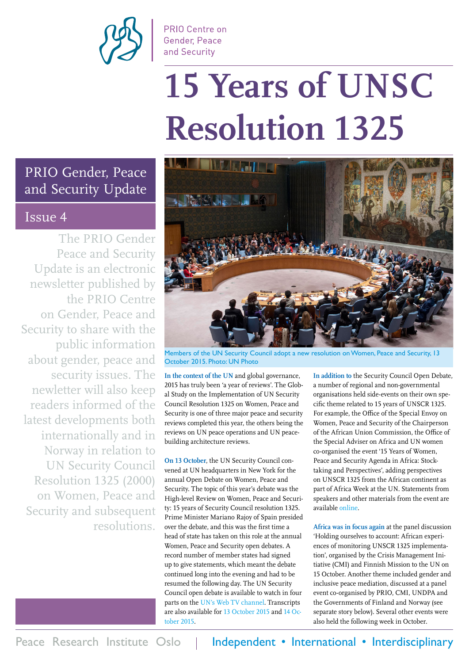

PRIO Centre on **Gender, Peace** and Security

# 15 Years of UNSC **Resolution 1325**

### PRIO Gender, Peace and Security Update

### Issue 4

The PRIO Gender Peace and Security Update is an electronic newsletter published by the PRIO Centre on Gender, Peace and Security to share with the public information about gender, peace and security issues. The newletter will also keep readers informed of the latest developments both internationally and in Norway in relation to UN Security Council Resolution 1325 (2000) on Women, Peace and Security and subsequent resolutions.



Members of the UN Security Council adopt a new resolution on Women, Peace and Security, 13 October 2015. Photo: UN Photo

**In the context of the UN** and global governance, 2015 has truly been 'a year of reviews'. The Global Study on the Implementation of UN Security Council Resolution 1325 on Women, Peace and Security is one of three major peace and security reviews completed this year, the others being the reviews on UN peace operations and UN peacebuilding architecture reviews.

**On 13 October**, the UN Security Council convened at UN headquarters in New York for the annual Open Debate on Women, Peace and Security. The topic of this year's debate was the High-level Review on Women, Peace and Security: 15 years of Security Council resolution 1325. Prime Minister Mariano Rajoy of Spain presided over the debate, and this was the first time a head of state has taken on this role at the annual Women, Peace and Security open debates. A record number of member states had signed up to give statements, which meant the debate continued long into the evening and had to be resumed the following day. The UN Security Council open debate is available to watch in four parts on the [UN's Web TV channel.](http://webtv.un.org/meetings-events/) Transcripts are also available for [13 October 2015](http://www.un.org/en/ga/search/view_doc.asp?symbol=S/PV.7533) and [14 Oc](http://www.un.org/en/ga/search/view_doc.asp?symbol=S/PV.7533(Resumption1))[tober 2015.](http://www.un.org/en/ga/search/view_doc.asp?symbol=S/PV.7533(Resumption1))

**In addition to** the Security Council Open Debate, a number of regional and non-governmental organisations held side-events on their own specific theme related to 15 years of UNSCR 1325. For example, the Office of the Special Envoy on Women, Peace and Security of the Chairperson of the African Union Commission, the Office of the Special Adviser on Africa and UN women co-organised the event '15 Years of Women, Peace and Security Agenda in Africa: Stocktaking and Perspectives', adding perspectives on UNSCR 1325 from the African continent as part of Africa Week at the UN. Statements from speakers and other materials from the event are available [online](http://www.un.org/en/africa/osaa/events/2015/womenpeace20151014.shtml).

**Africa was in focus again** at the panel discussion 'Holding ourselves to account: African experiences of monitoring UNSCR 1325 implementation', organised by the Crisis Management Initiative (CMI) and Finnish Mission to the UN on 15 October. Another theme included gender and inclusive peace mediation, discussed at a panel event co-organised by PRIO, CMI, UNDPA and the Governments of Finland and Norway (see separate story below). Several other events were also held the following week in October.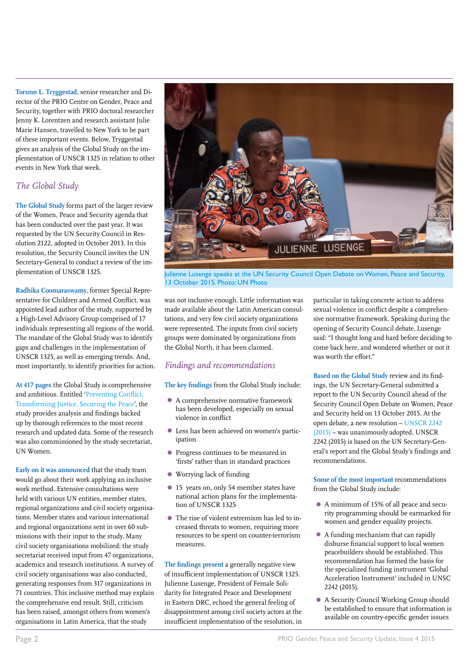**Torunn L. Tryggestad**, senior researcher and Director of the PRIO Centre on Gender, Peace and Security, together with PRIO doctoral researcher Jenny K. Lorentzen and research assistant Julie Marie Hansen, travelled to New York to be part of these important events. Below, Tryggestad gives an analysis of the Global Study on the implementation of UNSCR 1325 in relation to other events in New York that week.

### *The Global Study*

**The Global Study** forms part of the larger review of the Women, Peace and Security agenda that has been conducted over the past year. It was requested by the UN Security Council in Resolution 2122, adopted in October 2013. In this resolution, the Security Council invites the UN Secretary-General to conduct a review of the implementation of UNSCR 1325.

**Radhika Coomaraswamy**, former Special Representative for Children and Armed Conflict, was appointed lead author of the study, supported by a High-Level Advisory Group comprised of 17 individuals representing all regions of the world. The mandate of the Global Study was to identify gaps and challenges in the implementation of UNSCR 1325, as well as emerging trends. And, most importantly, to identify priorities for action.

**At 417 pages** the Global Study is comprehensive and ambitious. Entitled '[Preventing Conflict,](http://wps.unwomen.org/~/media/files/un women/wps/highlights/unw-global-study-1325-2015.pdf)  [Transforming Justice, Securing the Peace](http://wps.unwomen.org/~/media/files/un women/wps/highlights/unw-global-study-1325-2015.pdf)', the study provides analysis and findings backed up by thorough references to the most recent research and updated data. Some of the research was also commissioned by the study secretariat, UN Women.

**Early on it was announced** that the study team would go about their work applying an inclusive work method. Extensive consultations were held with various UN entities, member states, regional organizations and civil society organisations. Member states and various international and regional organizations sent in over 60 submissions with their input to the study. Many civil society organisations mobilized: the study secretariat received input from 47 organizations, academics and research institutions. A survey of civil society organisations was also conducted, generating responses from 317 organizations in 71 countries. This inclusive method may explain the comprehensive end result. Still, criticism has been raised, amongst others from women's organisations in Latin America, that the study



Julienne Lusenge speaks at the UN Security Council Open Debate on Women, Peace and Security, 13 October 2015. Photo: UN Photo

was not inclusive enough. Little information was made available about the Latin American consultations, and very few civil society organizations were represented. The inputs from civil society groups were dominated by organizations from the Global North, it has been claimed.

#### *Findings and recommendations*

**The key findings** from the Global Study include:

- A comprehensive normative framework has been developed, especially on sexual violence in conflict
- Less has been achieved on women's participation
- Progress continues to be measured in 'firsts' rather than in standard practices
- Worrying lack of funding
- 15 years on, only 54 member states have national action plans for the implementation of UNSCR 1325
- The rise of violent extremism has led to increased threats to women, requiring more resources to be spent on counter-terrorism measures.

**The findings present** a generally negative view of insufficient implementation of UNSCR 1325. Julienne Lusenge, President of Female Solidarity for Integrated Peace and Development in Eastern DRC, echoed the general feeling of disappointment among civil society actors at the insufficient implementation of the resolution, in

particular in taking concrete action to address sexual violence in conflict despite a comprehensive normative framework. Speaking during the opening of Security Council debate, Lusenge said: "I thought long and hard before deciding to come back here, and wondered whether or not it was worth the effort."

**Based on the Global Study** review and its findings, the UN Secretary-General submitted a report to the UN Security Council ahead of the Security Council Open Debate on Women, Peace and Security held on 13 October 2015. At the open debate, a new resolution – [UNSCR 2242](http://www.securitycouncilreport.org/atf/cf/%7B65BFCF9B-6D27-4E9C-8CD3-CF6E4FF96FF9%7D/s_res_2242.pdf)  [\(2015\)](http://www.securitycouncilreport.org/atf/cf/%7B65BFCF9B-6D27-4E9C-8CD3-CF6E4FF96FF9%7D/s_res_2242.pdf) – was unanimously adopted. UNSCR 2242 (2015) is based on the UN Secretary-General's report and the Global Study's findings and recommendations.

**Some of the most important** recommendations from the Global Study include:

- A minimum of 15% of all peace and security programming should be earmarked for women and gender equality projects.
- A funding mechanism that can rapidly disburse financial support to local women peacebuilders should be established. This recommendation has formed the basis for the specialized funding instrument 'Global Acceleration Instrument' included in UNSC 2242 (2015).
- A Security Council Working Group should be established to ensure that information is available on country-specific gender issues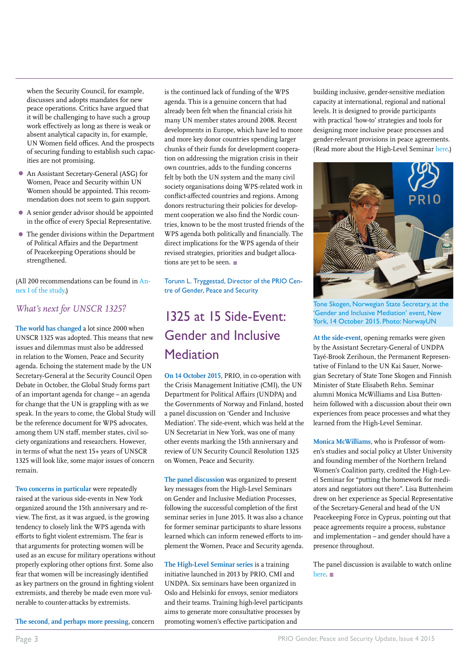when the Security Council, for example, discusses and adopts mandates for new peace operations. Critics have argued that it will be challenging to have such a group work effectively as long as there is weak or absent analytical capacity in, for example, UN Women field offices. And the prospects of securing funding to establish such capacities are not promising.

- An Assistant Secretary-General (ASG) for Women, Peace and Security within UN Women should be appointed. This recommendation does not seem to gain support.
- A senior gender advisor should be appointed in the office of every Special Representative.
- The gender divisions within the Department of Political Affairs and the Department of Peacekeeping Operations should be strengthened.

(All 200 recommendations can be found in [An](http://wps.unwomen.org/~/media/files/un women/wps/highlights/unw-global-study-1325-2015.pdf)[nex I of the study.](http://wps.unwomen.org/~/media/files/un women/wps/highlights/unw-global-study-1325-2015.pdf))

#### *What's next for UNSCR 1325?*

**The world has changed** a lot since 2000 when UNSCR 1325 was adopted. This means that new issues and dilemmas must also be addressed in relation to the Women, Peace and Security agenda. Echoing the statement made by the UN Secretary-General at the Security Council Open Debate in October, the Global Study forms part of an important agenda for change – an agenda for change that the UN is grappling with as we speak. In the years to come, the Global Study will be the reference document for WPS advocates, among them UN staff, member states, civil society organizations and researchers. However, in terms of what the next 15+ years of UNSCR 1325 will look like, some major issues of concern remain.

**Two concerns in particular** were repeatedly raised at the various side-events in New York organized around the 15th anniversary and review. The first, as it was argued, is the growing tendency to closely link the WPS agenda with efforts to fight violent extremism. The fear is that arguments for protecting women will be used as an excuse for military operations without properly exploring other options first. Some also fear that women will be increasingly identified as key partners on the ground in fighting violent extremists, and thereby be made even more vulnerable to counter-attacks by extremists.

**The second, and perhaps more pressing**, concern

is the continued lack of funding of the WPS agenda. This is a genuine concern that had already been felt when the financial crisis hit many UN member states around 2008. Recent developments in Europe, which have led to more and more key donor countries spending larger chunks of their funds for development cooperation on addressing the migration crisis in their own countries, adds to the funding concerns felt by both the UN system and the many civil society organisations doing WPS-related work in conflict-affected countries and regions. Among donors restructuring their policies for development cooperation we also find the Nordic countries, known to be the most trusted friends of the WPS agenda both politically and financially. The direct implications for the WPS agenda of their revised strategies, priorities and budget allocations are yet to be seen.

Torunn L. Tryggestad, Director of the PRIO Centre of Gender, Peace and Security

## 1325 at 15 Side-Event: Gender and Inclusive Mediation

**On 14 October 2015**, PRIO, in co-operation with the Crisis Management Initiative (CMI), the UN Department for Political Affairs (UNDPA) and the Governments of Norway and Finland, hosted a panel discussion on 'Gender and Inclusive Mediation'. The side-event, which was held at the UN Secretariat in New York, was one of many other events marking the 15th anniversary and review of UN Security Council Resolution 1325 on Women, Peace and Security.

**The panel discussion** was organized to present key messages from the High-Level Seminars on Gender and Inclusive Mediation Processes, following the successful completion of the first seminar series in June 2015. It was also a chance for former seminar participants to share lessons learned which can inform renewed efforts to implement the Women, Peace and Security agenda.

**The High-Level Seminar series** is a training initiative launched in 2013 by PRIO, CMI and UNDPA. Six seminars have been organized in Oslo and Helsinki for envoys, senior mediators and their teams. Training high-level participants aims to generate more consultative processes by promoting women's effective participation and

building inclusive, gender-sensitive mediation capacity at international, regional and national levels. It is designed to provide participants with practical 'how-to' strategies and tools for designing more inclusive peace processes and gender-relevant provisions in peace agreements. (Read more about the High-Level Seminar [here.](https://www.prio.org/Projects/Project/?x=1651))



Tone Skogen, Norwegian State Secretary, at the 'Gender and Inclusive Mediation' event, New York, 14 October 2015. Photo: NorwayUN

**At the side-event**, opening remarks were given by the Assistant Secretary-General of UNDPA Tayé-Brook Zerihoun, the Permanent Representative of Finland to the UN Kai Sauer, Norwegian Secretary of State Tone Skogen and Finnish Minister of State Elisabeth Rehn. Seminar alumni Monica McWilliams and Lisa Buttenheim followed with a discussion about their own experiences from peace processes and what they learned from the High-Level Seminar.

**Monica McWilliams**, who is Professor of women's studies and social policy at Ulster University and founding member of the Northern Ireland Women's Coalition party, credited the High-Level Seminar for "putting the homework for mediators and negotiators out there". Lisa Buttenheim drew on her experience as Special Representative of the Secretary-General and head of the UN Peacekeeping Force in Cyprus, pointing out that peace agreements require a process, substance and implementation – and gender should have a presence throughout.

The panel discussion is available to watch online [here.](http://webtv.un.org/meetings-events/other-meetingsevents/watch/panel-discussion-on-gender-and-inclusive-mediation-processes-%E2%80%90-unscr-1325-anniversary-event/4559677420001)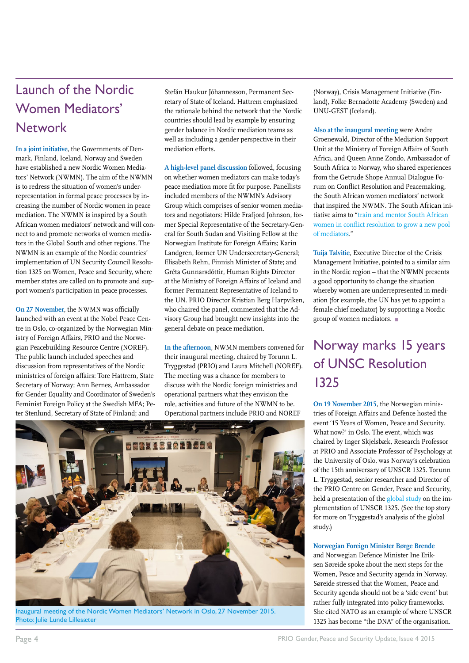### Launch of the Nordic Women Mediators' **Network**

**In a joint initiative**, the Governments of Denmark, Finland, Iceland, Norway and Sweden have established a new Nordic Women Mediators' Network (NWMN). The aim of the NWMN is to redress the situation of women's underrepresentation in formal peace processes by increasing the number of Nordic women in peace mediation. The NWMN is inspired by a South African women mediators' network and will connect to and promote networks of women mediators in the Global South and other regions. The NWMN is an example of the Nordic countries' implementation of UN Security Council Resolution 1325 on Women, Peace and Security, where member states are called on to promote and support women's participation in peace processes.

**On 27 November**, the NWMN was officially launched with an event at the Nobel Peace Centre in Oslo, co-organized by the Norwegian Ministry of Foreign Affairs, PRIO and the Norwegian Peacebuilding Resource Centre (NOREF). The public launch included speeches and discussion from representatives of the Nordic ministries of foreign affairs: Tore Hattrem, State Secretary of Norway; Ann Bernes, Ambassador for Gender Equality and Coordinator of Sweden's Feminist Foreign Policy at the Swedish MFA; Peter Stenlund, Secretary of State of Finland; and

Stefán Haukur Jóhannesson, Permanent Secretary of State of Iceland. Hattrem emphasized the rationale behind the network that the Nordic countries should lead by example by ensuring gender balance in Nordic mediation teams as well as including a gender perspective in their mediation efforts.

**A high-level panel discussion** followed, focusing on whether women mediators can make today's peace mediation more fit for purpose. Panellists included members of the NWMN's Advisory Group which comprises of senior women mediators and negotiators: Hilde Frafjord Johnson, former Special Representative of the Secretary-General for South Sudan and Visiting Fellow at the Norwegian Institute for Foreign Affairs; Karin Landgren, former UN Undersecretary-General; Elisabeth Rehn, Finnish Minister of State; and Gréta Gunnarsdóttir, Human Rights Director at the Ministry of Foreign Affairs of Iceland and former Permanent Representative of Iceland to the UN. PRIO Director Kristian Berg Harpviken, who chaired the panel, commented that the Advisory Group had brought new insights into the general debate on peace mediation.

**In the afternoon**, NWMN members convened for their inaugural meeting, chaired by Torunn L. Tryggestad (PRIO) and Laura Mitchell (NOREF). The meeting was a chance for members to discuss with the Nordic foreign ministries and operational partners what they envision the role, activities and future of the NWMN to be. Operational partners include PRIO and NOREF



Inaugural meeting of the Nordic Women Mediators' Network in Oslo, 27 November 2015. Photo: Julie Lunde Lillesæter

(Norway), Crisis Management Initiative (Finland), Folke Bernadotte Academy (Sweden) and UNU-GEST (Iceland).

**Also at the inaugural meeting** were Andre Groenewald, Director of the Mediation Support Unit at the Ministry of Foreign Affairs of South Africa, and Queen Anne Zondo, Ambassador of South Africa to Norway, who shared experiences from the Getrude Shope Annual Dialogue Forum on Conflict Resolution and Peacemaking, the South African women mediators' network that inspired the NWMN. The South African initiative aims to ["train and mentor South African](http://www.sabc.co.za/news/a/158ac08049a5050b8e358ea84320b537/DIRCO-names-conflict-resolution-forum-after-Getrude-Shope-20152808)  [women in conflict resolution to grow a new pool](http://www.sabc.co.za/news/a/158ac08049a5050b8e358ea84320b537/DIRCO-names-conflict-resolution-forum-after-Getrude-Shope-20152808)  [of mediators](http://www.sabc.co.za/news/a/158ac08049a5050b8e358ea84320b537/DIRCO-names-conflict-resolution-forum-after-Getrude-Shope-20152808)."

**Tuija Talvitie**, Executive Director of the Crisis Management Initiative, pointed to a similar aim in the Nordic region – that the NWMN presents a good opportunity to change the situation whereby women are underrepresented in mediation (for example, the UN has yet to appoint a female chief mediator) by supporting a Nordic group of women mediators.

### Norway marks 15 years of UNSC Resolution 1325

**On 19 November 2015**, the Norwegian ministries of Foreign Affairs and Defence hosted the event '15 Years of Women, Peace and Security. What now?' in Oslo. The event, which was chaired by Inger Skjelsbæk, Research Professor at PRIO and Associate Professor of Psychology at the University of Oslo, was Norway's celebration of the 15th anniversary of UNSCR 1325. Torunn L. Tryggestad, senior researcher and Director of the PRIO Centre on Gender, Peace and Security, held a presentation of the [global study o](http://wps.unwomen.org/~/media/files/un women/wps/highlights/unw-global-study-1325-2015.pdf)n the implementation of UNSCR 1325. (See the top story for more on Tryggestad's analysis of the global study.)

#### **Norwegian Foreign Minister Børge Brende**

and Norwegian Defence Minister Ine Eriksen Søreide spoke about the next steps for the Women, Peace and Security agenda in Norway. Søreide stressed that the Women, Peace and Security agenda should not be a 'side event' but rather fully integrated into policy frameworks. She cited NATO as an example of where UNSCR 1325 has become "the DNA" of the organisation.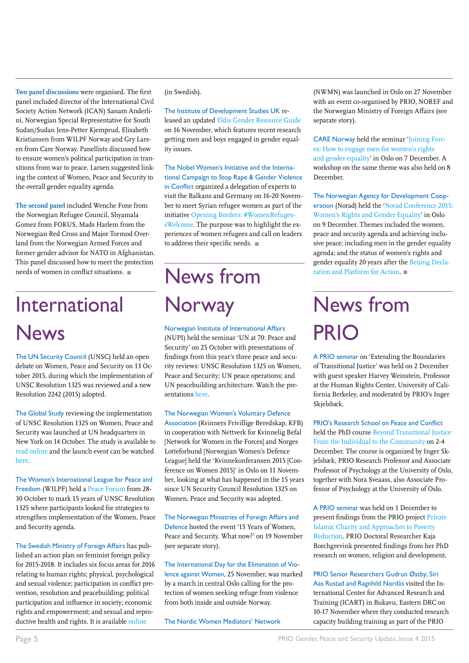**Two panel discussions** were organised. The first panel included director of the International Civil Society Action Network (ICAN) Sanam Anderlini, Norwegian Special Representative for South Sudan/Sudan Jens-Petter Kjemprud, Elisabeth Kristiansen from WILPF Norway and Gry Larsen from Care Norway. Panellists discussed how to ensure women's political participation in transitions from war to peace. Larsen suggested linking the context of Women, Peace and Security to the overall gender equality agenda.

**The second panel** included Wenche Fone from the Norwegian Refugee Council, Shyamala Gomez from FOKUS, Mads Harlem from the Norwegian Red Cross and Major Tormod Overland from the Norwegian Armed Forces and former gender advisor for NATO in Afghanistan. This panel discussed how to meet the protection needs of women in conflict situations.

## International News

The UN Security Council (UNSC) held an open debate on Women, Peace and Security on 13 October 2015, during which the implementation of UNSC Resolution 1325 was reviewed and a new Resolution 2242 (2015) adopted.

The Global Study reviewing the implementation of UNSC Resolution 1325 on Women, Peace and Security was launched at UN headquarters in New York on 14 October. The study is available to [read online a](http://peacewomen.org/node/93026)nd the launch event can be watched [here.](http://wps.unwomen.org/en/highlights/global-study-release)

The Women's International League for Peace and Freedom (WILPF) held a [Peace Forum](http://wilpf.org/what-is-the-peace-forum/) from 28- 30 October to mark 15 years of UNSC Resolution 1325 where participants looked for strategies to strengthen implementation of the Women, Peace and Security agenda.

The Swedish Ministry of Foreign Affairs has published an action plan on feminist foreign policy for 2015-2018. It includes six focus areas for 2016 relating to human rights; physical, psychological and sexual violence; participation in conflict prevention, resolution and peacebuilding; political participation and influence in society; economic rights and empowerment; and sexual and reproductive health and rights. It is available online

(in Swedish).

The Institute of Development Studies UK released an updated [Eldis Gender Resource Guide](http://www.eldis.org/go/topics/resource-guides/gender/monthly-collections/engaging-men-and-boys-for-gender-equality#.VnKH__krLcv)  on 16 November, which features recent research getting men and boys engaged in gender equality issues.

The Nobel Women's Initiative and the International Campaign to Stop Rape & Gender Violence in Conflict organized a delegation of experts to visit the Balkans and Germany on 16-20 November to meet Syrian refugee women as part of the initiative [Opening Borders: #WomenRefugee](http://nobelwomensinitiative.org/our-blogs/opening-borders-womenrefugeeswelcome/?ref=18&ref=281)[sWelcome](http://nobelwomensinitiative.org/our-blogs/opening-borders-womenrefugeeswelcome/?ref=18&ref=281). The purpose was to highlight the experiences of women refugees and call on leaders to address their specific needs.

## News from **Norway**

Norwegian Institute of International Affairs (NUPI) held the seminar 'UN at 70: Peace and Security' on 25 October with presentations of findings from this year's three peace and security reviews: UNSC Resolution 1325 on Women, Peace and Security; UN peace operations; and UN peacebuilding architecture. Watch the presentations [here.](http://www.nupi.no/Arrangementer/2015/FN-70-aar-Fred-og-sikkerhet)

#### The Norwegian Women's Voluntary Defence

Association (Kvinners Frivillige Beredskap, KFB) in cooperation with Nettverk for Kvinnelig Befal [Network for Women in the Forces] and Norges Lotteforbund [Norwegian Women's Defence League] held the 'Kvinnekonferansen 2015 [Conference on Women 2015]' in Oslo on 11 November, looking at what has happened in the 15 years since UN Security Council Resolution 1325 on Women, Peace and Security was adopted.

The Norwegian Ministries of Foreign Affairs and Defence hosted the event '15 Years of Women, Peace and Security. What now?' on 19 November (see separate story).

The International Day for the Elimination of Violence against Women, 25 November, was marked by a march in central Oslo calling for the protection of women seeking refuge from violence from both inside and outside Norway.

The Nordic Women Mediators' Network

(NWMN) was launched in Oslo on 27 November with an event co-organised by PRIO, NOREF and the Norwegian Ministry of Foreign Affairs (see separate story).

CARE Norway held the seminar '[Joining Forc](http://www.care.no/joiningforces)[es: How to engage men for women's rights](http://www.care.no/joiningforces)  [and gender equality'](http://www.care.no/joiningforces) in Oslo on 7 December. A workshop on the same theme was also held on 8 December.

The Norwegian Agency for Development Cooperation (Norad) held the '[Norad Conference 2015:](http://www.norad.no/aktuelt/norad-konferansen/noradkonferansen2015/slik-blir-norad-konferansen-2015/) [Women's Rights and Gender Equality](http://www.norad.no/aktuelt/norad-konferansen/noradkonferansen2015/slik-blir-norad-konferansen-2015/)' in Oslo on 9 December. Themes included the women, peace and security agenda and achieving inclusive peace; including men in the gender equality agenda; and the status of women's rights and gender equality 20 years after the [Beijing Decla](http://beijing20.unwomen.org/en/about)[ration and Platform for Action](http://beijing20.unwomen.org/en/about).

## News from PRIO

A PRIO seminar on 'Extending the Boundaries of Transitional Justice' was held on 2 December with guest speaker Harvey Weinstein, Professor at the Human Rights Center, University of California Berkeley, and moderated by PRIO's Inger Skjelsbæk.

PRIO's Research School on Peace and Conflict held the PhD course Beyond Transitional Justice: [From the Individual to the Community o](http://www.peaceconflictresearch.org/Courses/Course/?x=1103)n 2-4 December. The course is organized by Inger Skjelsbæk, PRIO Research Professor and Associate Professor of Psychology at the University of Oslo, together with Nora Sveaass, also Associate Professor of Psychology at the University of Oslo.

A PRIO seminar was held on 1 December to present findings from the PRIO project [Private](https://www.prio.org/Projects/Project/?x=1499)  [Islamic Charity and Approaches to Poverty](https://www.prio.org/Projects/Project/?x=1499)  [Reduction](https://www.prio.org/Projects/Project/?x=1499). PRIO Doctoral Researcher Kaja Borchgrevink presented findings from her PhD research on women, religion and development.

PRIO Senior Researchers Gudrun Østby, Siri Aas Rustad and Ragnhild Nordås visited the International Center for Advanced Research and Training (ICART) in Bukavu, Eastern DRC on 10-17 November where they conducted research capacity building training as part of the PRIO